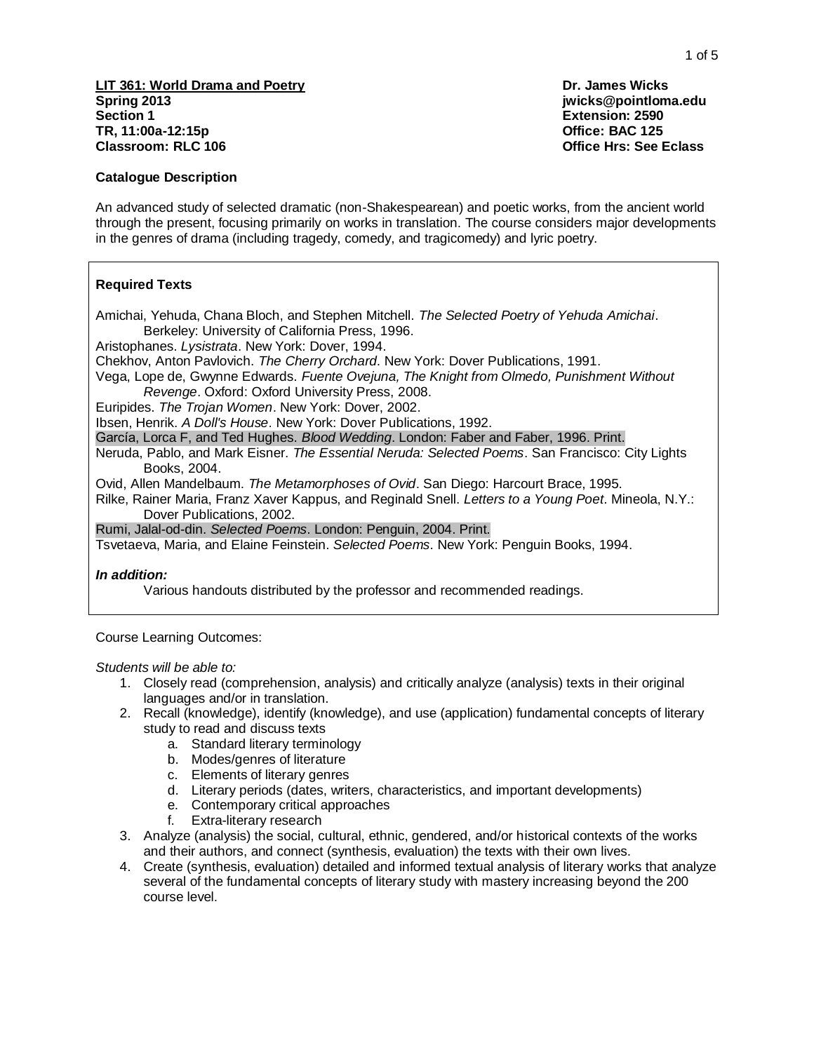## **Catalogue Description**

An advanced study of selected dramatic (non-Shakespearean) and poetic works, from the ancient world through the present, focusing primarily on works in translation. The course considers major developments in the genres of drama (including tragedy, comedy, and tragicomedy) and lyric poetry.

# **Required Texts**

Amichai, Yehuda, Chana Bloch, and Stephen Mitchell. *The Selected Poetry of Yehuda Amichai*. Berkeley: University of California Press, 1996.

Aristophanes. *Lysistrata*. New York: Dover, 1994.

Chekhov, Anton Pavlovich. *The Cherry Orchard*. New York: Dover Publications, 1991.

Vega, Lope de, Gwynne Edwards. *Fuente Ovejuna, The Knight from Olmedo, Punishment Without Revenge*. Oxford: Oxford University Press, 2008.

Euripides. *The Trojan Women*. New York: Dover, 2002.

Ibsen, Henrik. *A Doll's House*. New York: Dover Publications, 1992.

García, Lorca F, and Ted Hughes. *Blood Wedding*. London: Faber and Faber, 1996. Print.

Neruda, Pablo, and Mark Eisner. *The Essential Neruda: Selected Poems*. San Francisco: City Lights Books, 2004.

Ovid, Allen Mandelbaum. *The Metamorphoses of Ovid*. San Diego: Harcourt Brace, 1995.

Rilke, Rainer Maria, Franz Xaver Kappus, and Reginald Snell. *Letters to a Young Poet*. Mineola, N.Y.: Dover Publications, 2002.

Rumi, Jalal-od-din. *Selected Poems*. London: Penguin, 2004. Print.

Tsvetaeva, Maria, and Elaine Feinstein. *Selected Poems*. New York: Penguin Books, 1994.

#### *In addition:*

Various handouts distributed by the professor and recommended readings.

Course Learning Outcomes:

*Students will be able to:*

- 1. Closely read (comprehension, analysis) and critically analyze (analysis) texts in their original languages and/or in translation.
- 2. Recall (knowledge), identify (knowledge), and use (application) fundamental concepts of literary study to read and discuss texts
	- a. Standard literary terminology
	- b. Modes/genres of literature
	- c. Elements of literary genres
	- d. Literary periods (dates, writers, characteristics, and important developments)
	- e. Contemporary critical approaches
	- f. Extra-literary research
- 3. Analyze (analysis) the social, cultural, ethnic, gendered, and/or historical contexts of the works and their authors, and connect (synthesis, evaluation) the texts with their own lives.
- 4. Create (synthesis, evaluation) detailed and informed textual analysis of literary works that analyze several of the fundamental concepts of literary study with mastery increasing beyond the 200 course level.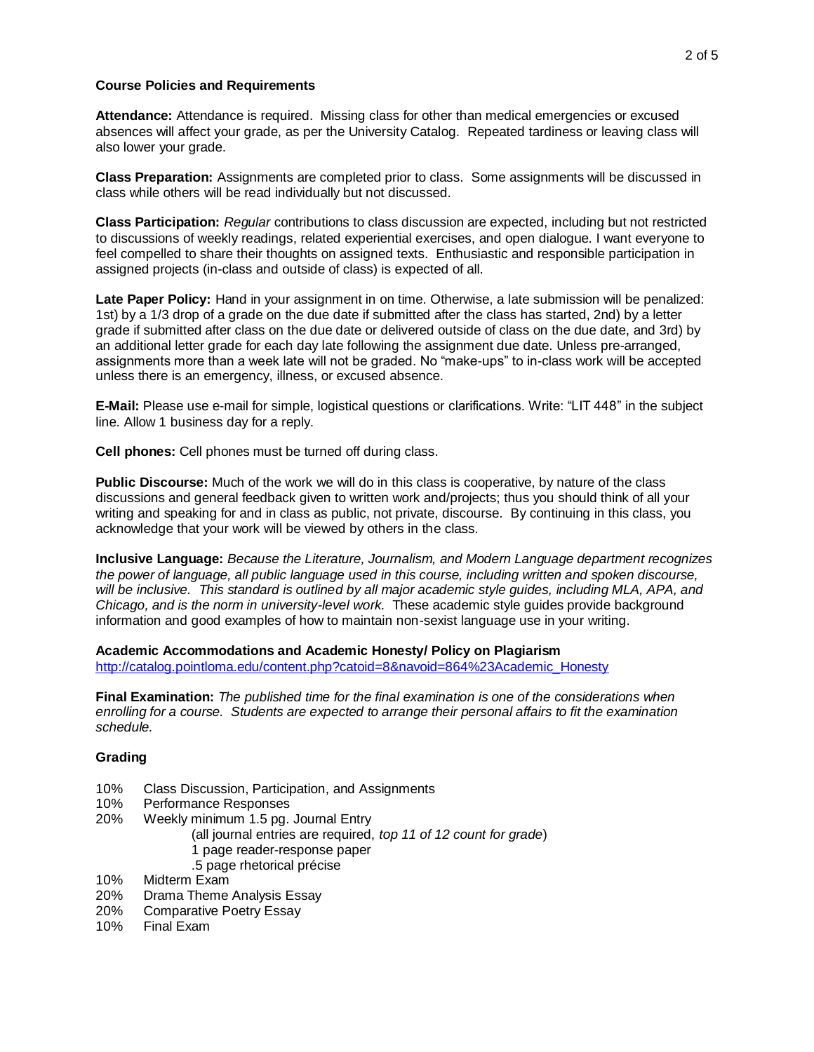## **Course Policies and Requirements**

**Attendance:** Attendance is required. Missing class for other than medical emergencies or excused absences will affect your grade, as per the University Catalog. Repeated tardiness or leaving class will also lower your grade.

**Class Preparation:** Assignments are completed prior to class. Some assignments will be discussed in class while others will be read individually but not discussed.

**Class Participation:** *Regular* contributions to class discussion are expected, including but not restricted to discussions of weekly readings, related experiential exercises, and open dialogue. I want everyone to feel compelled to share their thoughts on assigned texts. Enthusiastic and responsible participation in assigned projects (in-class and outside of class) is expected of all.

**Late Paper Policy:** Hand in your assignment in on time. Otherwise, a late submission will be penalized: 1st) by a 1/3 drop of a grade on the due date if submitted after the class has started, 2nd) by a letter grade if submitted after class on the due date or delivered outside of class on the due date, and 3rd) by an additional letter grade for each day late following the assignment due date. Unless pre-arranged, assignments more than a week late will not be graded. No "make-ups" to in-class work will be accepted unless there is an emergency, illness, or excused absence.

**E-Mail:** Please use e-mail for simple, logistical questions or clarifications. Write: "LIT 448" in the subject line. Allow 1 business day for a reply.

**Cell phones:** Cell phones must be turned off during class.

**Public Discourse:** Much of the work we will do in this class is cooperative, by nature of the class discussions and general feedback given to written work and/projects; thus you should think of all your writing and speaking for and in class as public, not private, discourse. By continuing in this class, you acknowledge that your work will be viewed by others in the class.

**Inclusive Language:** *Because the Literature, Journalism, and Modern Language department recognizes the power of language, all public language used in this course, including written and spoken discourse,*  will be inclusive. This standard is outlined by all major academic style guides, including MLA, APA, and *Chicago, and is the norm in university-level work.* These academic style guides provide background information and good examples of how to maintain non-sexist language use in your writing.

# **Academic Accommodations and Academic Honesty/ Policy on Plagiarism**

[http://catalog.pointloma.edu/content.php?catoid=8&navoid=864%23Academic\\_Honesty](http://catalog.pointloma.edu/content.php?catoid=8&navoid=864%23Academic_Honesty)

**Final Examination:** *The published time for the final examination is one of the considerations when enrolling for a course. Students are expected to arrange their personal affairs to fit the examination schedule.*

# **Grading**

- 10% Class Discussion, Participation, and Assignments
- 10% Performance Responses
- 20% Weekly minimum 1.5 pg. Journal Entry
	- (all journal entries are required, *top 11 of 12 count for grade*) 1 page reader-response paper .5 page rhetorical précise
	-
- 10% Midterm Exam
- 20% Drama Theme Analysis Essay
- 20% Comparative Poetry Essay 10% Final Exam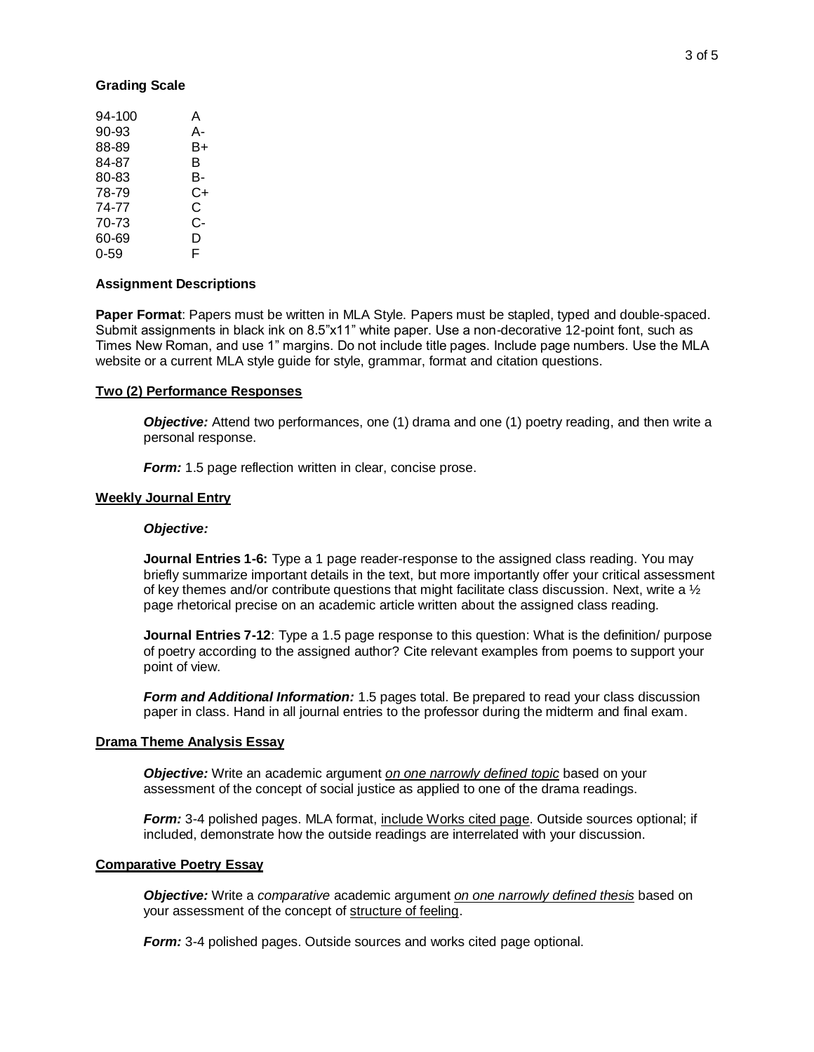#### **Grading Scale**

| 94-100   | Α  |
|----------|----|
| 90-93    | А- |
| 88-89    | B+ |
| 84-87    | в  |
| 80-83    | в- |
| 78-79    | C+ |
| 74-77    | C  |
| 70-73    | C- |
| 60-69    | D  |
| $0 - 59$ | F  |

#### **Assignment Descriptions**

**Paper Format**: Papers must be written in MLA Style. Papers must be stapled, typed and double-spaced. Submit assignments in black ink on 8.5"x11" white paper. Use a non-decorative 12-point font, such as Times New Roman, and use 1" margins. Do not include title pages. Include page numbers. Use the MLA website or a current MLA style guide for style, grammar, format and citation questions.

#### **Two (2) Performance Responses**

**Objective:** Attend two performances, one (1) drama and one (1) poetry reading, and then write a personal response.

*Form:* 1.5 page reflection written in clear, concise prose.

#### **Weekly Journal Entry**

#### *Objective:*

**Journal Entries 1-6:** Type a 1 page reader-response to the assigned class reading. You may briefly summarize important details in the text, but more importantly offer your critical assessment of key themes and/or contribute questions that might facilitate class discussion. Next, write a  $\frac{1}{2}$ page rhetorical precise on an academic article written about the assigned class reading.

**Journal Entries 7-12**: Type a 1.5 page response to this question: What is the definition/ purpose of poetry according to the assigned author? Cite relevant examples from poems to support your point of view.

*Form and Additional Information:* 1.5 pages total. Be prepared to read your class discussion paper in class. Hand in all journal entries to the professor during the midterm and final exam.

#### **Drama Theme Analysis Essay**

*Objective:* Write an academic argument *on one narrowly defined topic* based on your assessment of the concept of social justice as applied to one of the drama readings.

*Form:* 3-4 polished pages. MLA format, include Works cited page. Outside sources optional; if included, demonstrate how the outside readings are interrelated with your discussion.

#### **Comparative Poetry Essay**

*Objective:* Write a *comparative* academic argument *on one narrowly defined thesis* based on your assessment of the concept of structure of feeling.

*Form:* 3-4 polished pages. Outside sources and works cited page optional.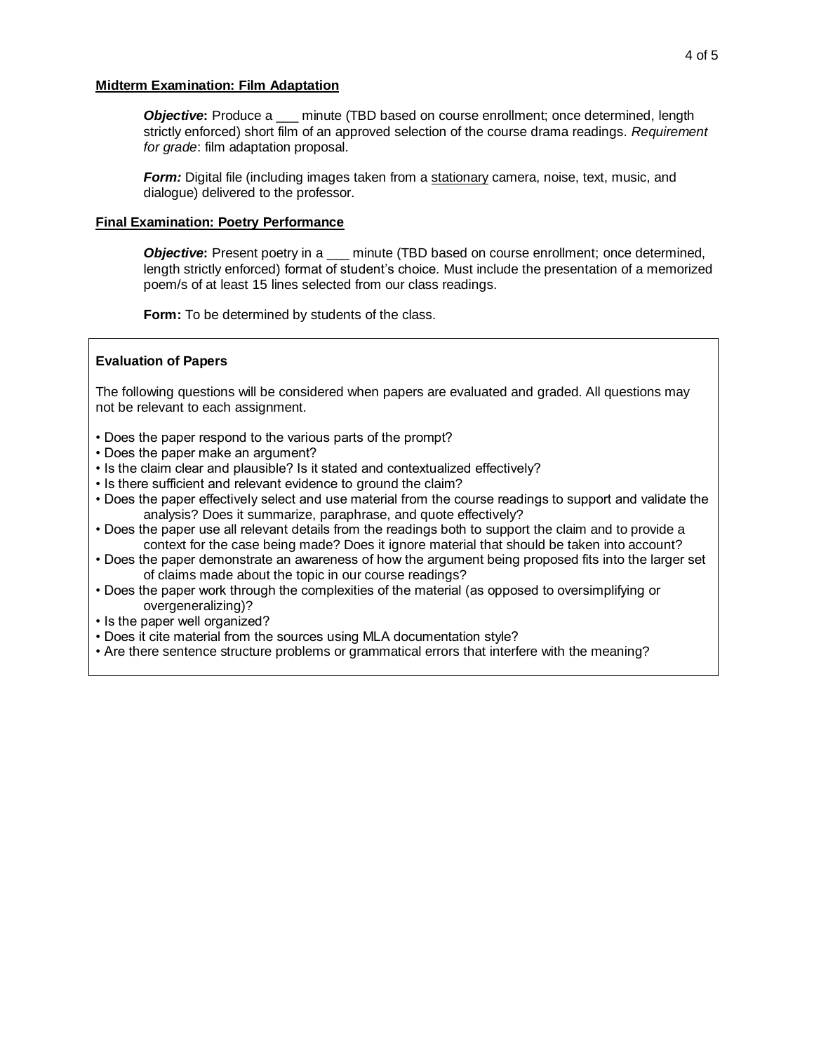# **Midterm Examination: Film Adaptation**

**Objective:** Produce a \_\_\_ minute (TBD based on course enrollment; once determined, length strictly enforced) short film of an approved selection of the course drama readings. *Requirement for grade*: film adaptation proposal.

*Form:* Digital file (including images taken from a stationary camera, noise, text, music, and dialogue) delivered to the professor.

# **Final Examination: Poetry Performance**

**Objective:** Present poetry in a \_\_\_ minute (TBD based on course enrollment; once determined, length strictly enforced) format of student's choice. Must include the presentation of a memorized poem/s of at least 15 lines selected from our class readings.

**Form:** To be determined by students of the class.

# **Evaluation of Papers**

The following questions will be considered when papers are evaluated and graded. All questions may not be relevant to each assignment.

- Does the paper respond to the various parts of the prompt?
- Does the paper make an argument?
- Is the claim clear and plausible? Is it stated and contextualized effectively?
- Is there sufficient and relevant evidence to ground the claim?
- Does the paper effectively select and use material from the course readings to support and validate the analysis? Does it summarize, paraphrase, and quote effectively?
- Does the paper use all relevant details from the readings both to support the claim and to provide a context for the case being made? Does it ignore material that should be taken into account?
- Does the paper demonstrate an awareness of how the argument being proposed fits into the larger set of claims made about the topic in our course readings?
- Does the paper work through the complexities of the material (as opposed to oversimplifying or overgeneralizing)?
- Is the paper well organized?
- Does it cite material from the sources using MLA documentation style?
- Are there sentence structure problems or grammatical errors that interfere with the meaning?